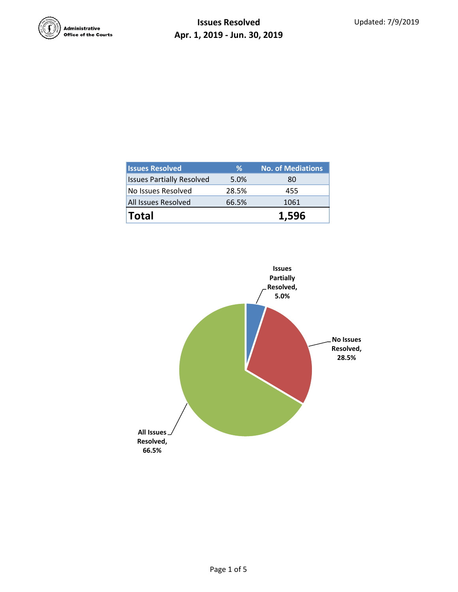

| <b>Issues Resolved</b>           | %     | <b>No. of Mediations</b> |
|----------------------------------|-------|--------------------------|
| <b>Issues Partially Resolved</b> | 5.0%  | 80                       |
| No Issues Resolved               | 28.5% | 455                      |
| All Issues Resolved              | 66.5% | 1061                     |
| <b>Total</b>                     |       | 1.596                    |

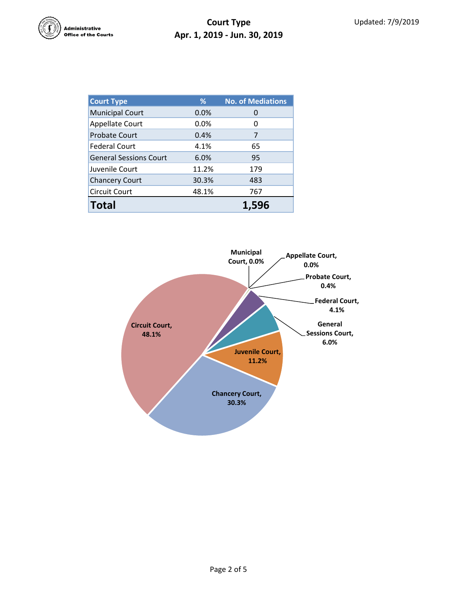

| <b>Court Type</b>             | %     | <b>No. of Mediations</b> |  |  |
|-------------------------------|-------|--------------------------|--|--|
| <b>Municipal Court</b>        | 0.0%  | O                        |  |  |
| <b>Appellate Court</b>        | 0.0%  | 0                        |  |  |
| <b>Probate Court</b>          | 0.4%  | 7                        |  |  |
| <b>Federal Court</b>          | 4.1%  | 65                       |  |  |
| <b>General Sessions Court</b> | 6.0%  | 95                       |  |  |
| Juvenile Court                | 11.2% | 179                      |  |  |
| <b>Chancery Court</b>         | 30.3% | 483                      |  |  |
| <b>Circuit Court</b>          | 48.1% | 767                      |  |  |
| <b>Total</b>                  |       | 1,596                    |  |  |

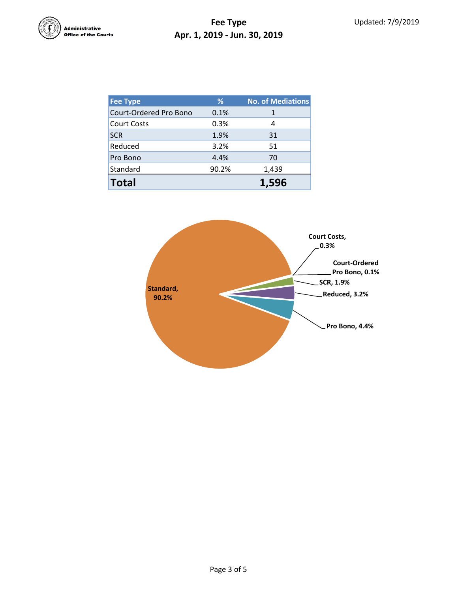

## **Fee Type Apr. 1, 2019 - Jun. 30, 2019**

| <b>Fee Type</b>        | %     | No. of Mediations |  |  |
|------------------------|-------|-------------------|--|--|
| Court-Ordered Pro Bono | 0.1%  | 1                 |  |  |
| <b>Court Costs</b>     | 0.3%  | 4                 |  |  |
| <b>SCR</b>             | 1.9%  | 31                |  |  |
| Reduced                | 3.2%  | 51                |  |  |
| Pro Bono               | 4.4%  | 70                |  |  |
| Standard               | 90.2% | 1,439             |  |  |
| <b>Total</b>           |       | 1,596             |  |  |

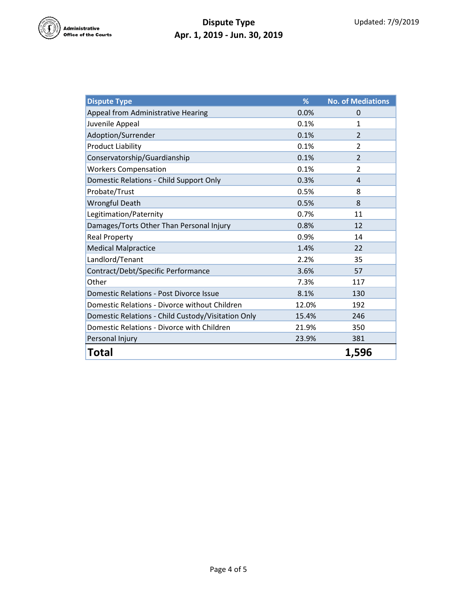

## **Dispute Type Apr. 1, 2019 - Jun. 30, 2019**

| <b>Dispute Type</b>                                | %     | <b>No. of Mediations</b> |
|----------------------------------------------------|-------|--------------------------|
| Appeal from Administrative Hearing                 | 0.0%  | 0                        |
| Juvenile Appeal                                    | 0.1%  | 1                        |
| Adoption/Surrender                                 | 0.1%  | $\overline{2}$           |
| <b>Product Liability</b>                           | 0.1%  | $\overline{2}$           |
| Conservatorship/Guardianship                       | 0.1%  | $\overline{2}$           |
| <b>Workers Compensation</b>                        | 0.1%  | $\overline{2}$           |
| Domestic Relations - Child Support Only            | 0.3%  | 4                        |
| Probate/Trust                                      | 0.5%  | 8                        |
| <b>Wrongful Death</b>                              | 0.5%  | 8                        |
| Legitimation/Paternity                             | 0.7%  | 11                       |
| Damages/Torts Other Than Personal Injury           | 0.8%  | 12                       |
| <b>Real Property</b>                               | 0.9%  | 14                       |
| <b>Medical Malpractice</b>                         | 1.4%  | 22                       |
| Landlord/Tenant                                    | 2.2%  | 35                       |
| Contract/Debt/Specific Performance                 | 3.6%  | 57                       |
| Other                                              | 7.3%  | 117                      |
| <b>Domestic Relations - Post Divorce Issue</b>     | 8.1%  | 130                      |
| Domestic Relations - Divorce without Children      | 12.0% | 192                      |
| Domestic Relations - Child Custody/Visitation Only | 15.4% | 246                      |
| Domestic Relations - Divorce with Children         | 21.9% | 350                      |
| Personal Injury                                    | 23.9% | 381                      |
| Total                                              |       | 1,596                    |